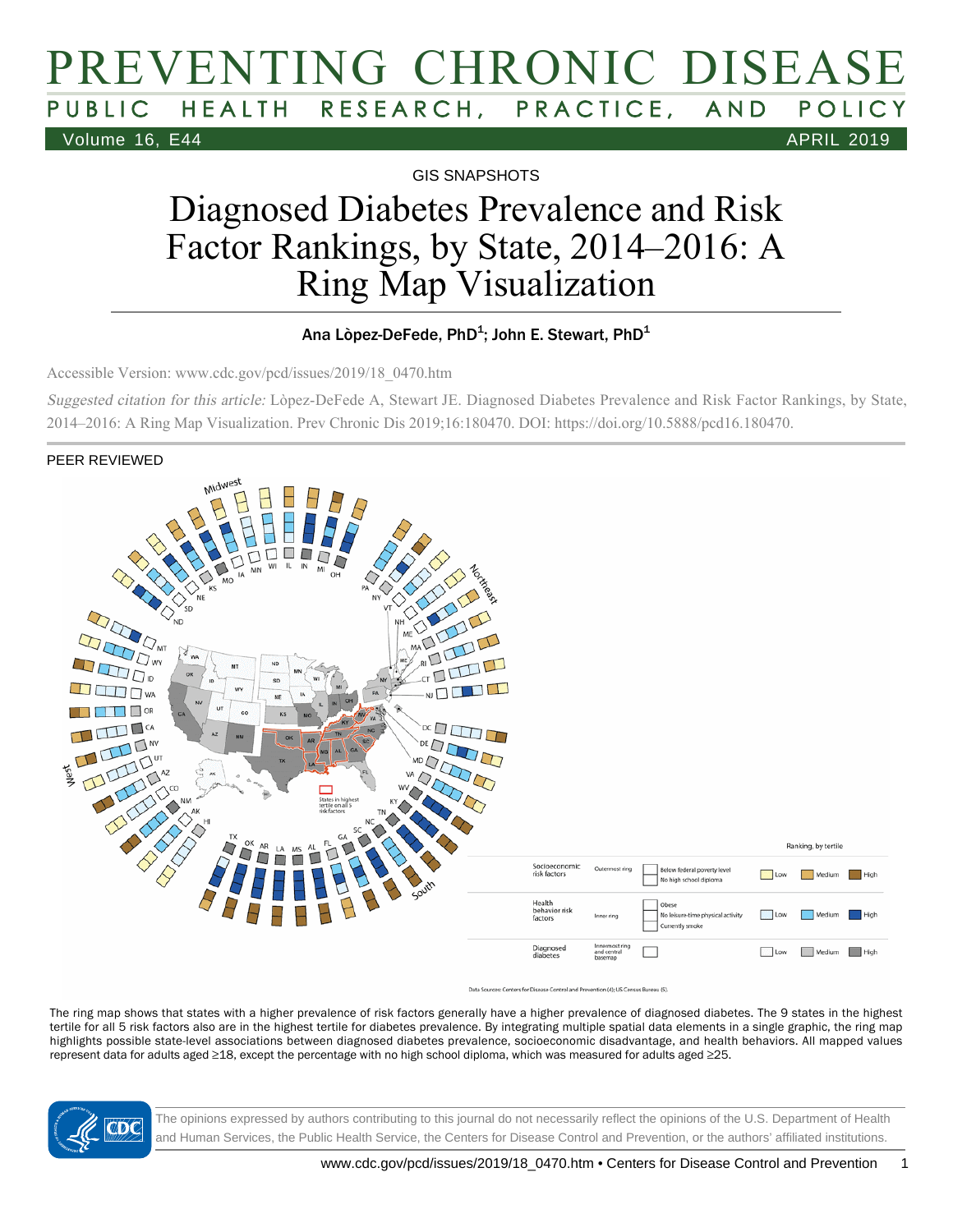## PREVENTING CHRONIC DISEASE PUBLIC HEALTH RESEARCH, PRACTICE, AND POLICY Volume 16, E44 APRIL 2019

GIS SNAPSHOTS

# Diagnosed Diabetes Prevalence and Risk Factor Rankings, by State, 2014–2016: A Ring Map Visualization

#### Ana Lòpez-DeFede, PhD $^{\rm 1}$ ; John E. Stewart, PhD $^{\rm 1}$

Accessible Version: www.cdc.gov/pcd/issues/2019/18\_0470.htm

Suggested citation for this article: Lòpez-DeFede A, Stewart JE. Diagnosed Diabetes Prevalence and Risk Factor Rankings, by State, 2014–2016: A Ring Map Visualization. Prev Chronic Dis 2019;16:180470. DOI: https://doi.org/10.5888/pcd16.180470.

PEER REVIEWED



The ring map shows that states with a higher prevalence of risk factors generally have a higher prevalence of diagnosed diabetes. The 9 states in the highest tertile for all 5 risk factors also are in the highest tertile for diabetes prevalence. By integrating multiple spatial data elements in a single graphic, the ring map highlights possible state-level associations between diagnosed diabetes prevalence, socioeconomic disadvantage, and health behaviors. All mapped values represent data for adults aged ≥18, except the percentage with no high school diploma, which was measured for adults aged ≥25.



The opinions expressed by authors contributing to this journal do not necessarily reflect the opinions of the U.S. Department of Health and Human Services, the Public Health Service, the Centers for Disease Control and Prevention, or the authors' affiliated institutions.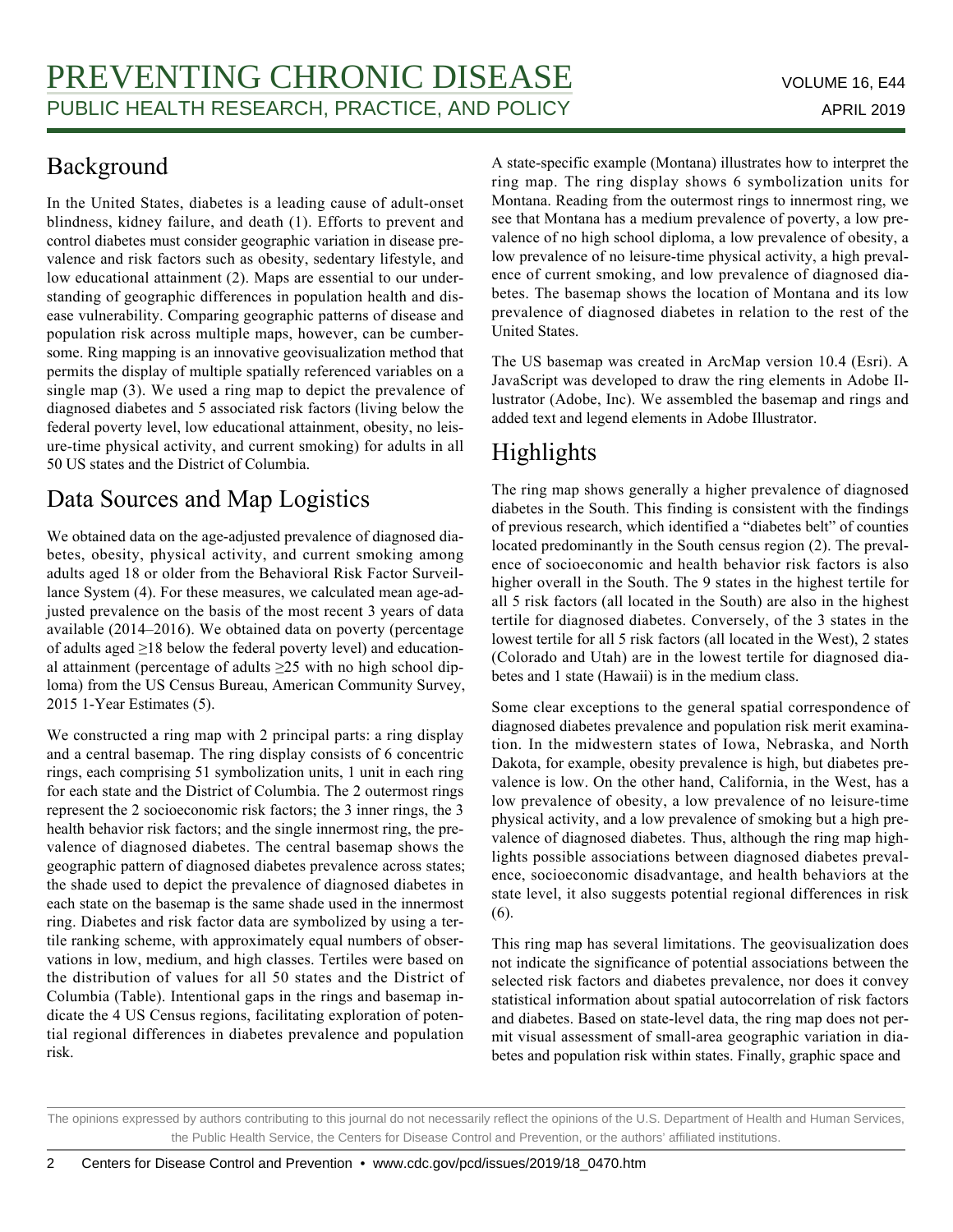#### Background

In the United States, diabetes is a leading cause of adult-onset blindness, kidney failure, and death (1). Efforts to prevent and control diabetes must consider geographic variation in disease prevalence and risk factors such as obesity, sedentary lifestyle, and low educational attainment (2). Maps are essential to our understanding of geographic differences in population health and disease vulnerability. Comparing geographic patterns of disease and population risk across multiple maps, however, can be cumbersome. Ring mapping is an innovative geovisualization method that permits the display of multiple spatially referenced variables on a single map (3). We used a ring map to depict the prevalence of diagnosed diabetes and 5 associated risk factors (living below the federal poverty level, low educational attainment, obesity, no leisure-time physical activity, and current smoking) for adults in all 50 US states and the District of Columbia.

#### Data Sources and Map Logistics

We obtained data on the age-adjusted prevalence of diagnosed diabetes, obesity, physical activity, and current smoking among adults aged 18 or older from the Behavioral Risk Factor Surveillance System (4). For these measures, we calculated mean age-adjusted prevalence on the basis of the most recent 3 years of data available (2014–2016). We obtained data on poverty (percentage of adults aged ≥18 below the federal poverty level) and educational attainment (percentage of adults ≥25 with no high school diploma) from the US Census Bureau, American Community Survey, 2015 1-Year Estimates (5).

We constructed a ring map with 2 principal parts: a ring display and a central basemap. The ring display consists of 6 concentric rings, each comprising 51 symbolization units, 1 unit in each ring for each state and the District of Columbia. The 2 outermost rings represent the 2 socioeconomic risk factors; the 3 inner rings, the 3 health behavior risk factors; and the single innermost ring, the prevalence of diagnosed diabetes. The central basemap shows the geographic pattern of diagnosed diabetes prevalence across states; the shade used to depict the prevalence of diagnosed diabetes in each state on the basemap is the same shade used in the innermost ring. Diabetes and risk factor data are symbolized by using a tertile ranking scheme, with approximately equal numbers of observations in low, medium, and high classes. Tertiles were based on the distribution of values for all 50 states and the District of Columbia (Table). Intentional gaps in the rings and basemap indicate the 4 US Census regions, facilitating exploration of potential regional differences in diabetes prevalence and population risk.

A state-specific example (Montana) illustrates how to interpret the ring map. The ring display shows 6 symbolization units for Montana. Reading from the outermost rings to innermost ring, we see that Montana has a medium prevalence of poverty, a low prevalence of no high school diploma, a low prevalence of obesity, a low prevalence of no leisure-time physical activity, a high prevalence of current smoking, and low prevalence of diagnosed diabetes. The basemap shows the location of Montana and its low prevalence of diagnosed diabetes in relation to the rest of the United States.

The US basemap was created in ArcMap version 10.4 (Esri). A JavaScript was developed to draw the ring elements in Adobe Illustrator (Adobe, Inc). We assembled the basemap and rings and added text and legend elements in Adobe Illustrator.

### Highlights

The ring map shows generally a higher prevalence of diagnosed diabetes in the South. This finding is consistent with the findings of previous research, which identified a "diabetes belt" of counties located predominantly in the South census region (2). The prevalence of socioeconomic and health behavior risk factors is also higher overall in the South. The 9 states in the highest tertile for all 5 risk factors (all located in the South) are also in the highest tertile for diagnosed diabetes. Conversely, of the 3 states in the lowest tertile for all 5 risk factors (all located in the West), 2 states (Colorado and Utah) are in the lowest tertile for diagnosed diabetes and 1 state (Hawaii) is in the medium class.

Some clear exceptions to the general spatial correspondence of diagnosed diabetes prevalence and population risk merit examination. In the midwestern states of Iowa, Nebraska, and North Dakota, for example, obesity prevalence is high, but diabetes prevalence is low. On the other hand, California, in the West, has a low prevalence of obesity, a low prevalence of no leisure-time physical activity, and a low prevalence of smoking but a high prevalence of diagnosed diabetes. Thus, although the ring map highlights possible associations between diagnosed diabetes prevalence, socioeconomic disadvantage, and health behaviors at the state level, it also suggests potential regional differences in risk (6).

This ring map has several limitations. The geovisualization does not indicate the significance of potential associations between the selected risk factors and diabetes prevalence, nor does it convey statistical information about spatial autocorrelation of risk factors and diabetes. Based on state-level data, the ring map does not permit visual assessment of small-area geographic variation in diabetes and population risk within states. Finally, graphic space and

The opinions expressed by authors contributing to this journal do not necessarily reflect the opinions of the U.S. Department of Health and Human Services, the Public Health Service, the Centers for Disease Control and Prevention, or the authors' affiliated institutions.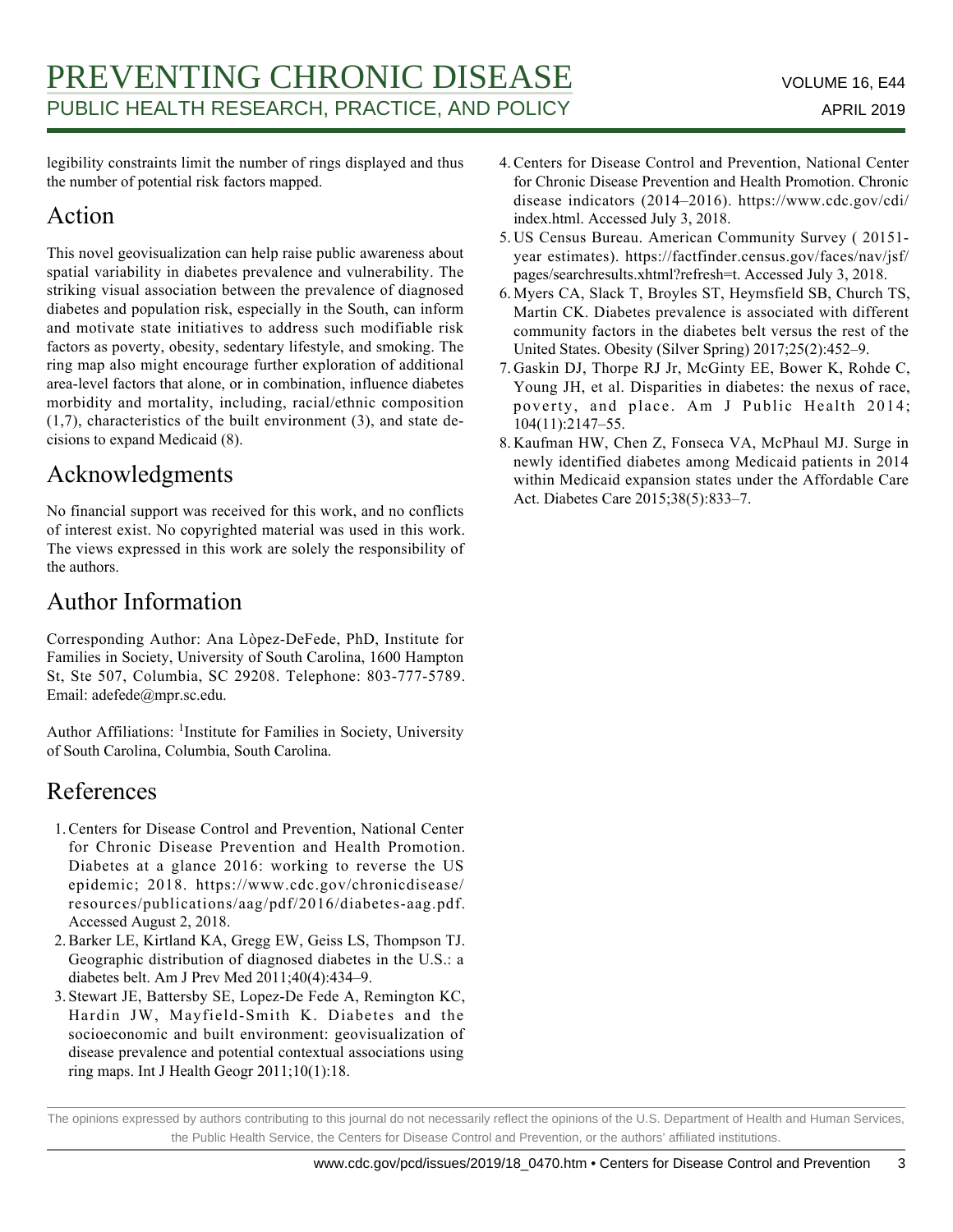legibility constraints limit the number of rings displayed and thus the number of potential risk factors mapped.

#### Action

This novel geovisualization can help raise public awareness about spatial variability in diabetes prevalence and vulnerability. The striking visual association between the prevalence of diagnosed diabetes and population risk, especially in the South, can inform and motivate state initiatives to address such modifiable risk factors as poverty, obesity, sedentary lifestyle, and smoking. The ring map also might encourage further exploration of additional area-level factors that alone, or in combination, influence diabetes morbidity and mortality, including, racial/ethnic composition  $(1,7)$ , characteristics of the built environment  $(3)$ , and state decisions to expand Medicaid (8).

#### Acknowledgments

No financial support was received for this work, and no conflicts of interest exist. No copyrighted material was used in this work. The views expressed in this work are solely the responsibility of the authors.

#### Author Information

Corresponding Author: Ana Lòpez-DeFede, PhD, Institute for Families in Society, University of South Carolina, 1600 Hampton St, Ste 507, Columbia, SC 29208. Telephone: 803-777-5789. Email: adefede@mpr.sc.edu.

Author Affiliations: <sup>1</sup>Institute for Families in Society, University of South Carolina, Columbia, South Carolina.

#### References

- 1. Centers for Disease Control and Prevention, National Center for Chronic Disease Prevention and Health Promotion. Diabetes at a glance 2016: working to reverse the US epidemic; 2018. https://www.cdc.gov/chronicdisease/ resources/publications/aag/pdf/2016/diabetes-aag.pdf. Accessed August 2, 2018.
- 2. Barker LE, Kirtland KA, Gregg EW, Geiss LS, Thompson TJ. Geographic distribution of diagnosed diabetes in the U.S.: a diabetes belt. Am J Prev Med 2011;40(4):434–9.
- 3. Stewart JE, Battersby SE, Lopez-De Fede A, Remington KC, Hardin JW, Mayfield-Smith K. Diabetes and the socioeconomic and built environment: geovisualization of disease prevalence and potential contextual associations using ring maps. Int J Health Geogr 2011;10(1):18.
- Centers for Disease Control and Prevention, National Center 4. for Chronic Disease Prevention and Health Promotion. Chronic disease indicators (2014–2016). https://www.cdc.gov/cdi/ index.html. Accessed July 3, 2018.
- 5. US Census Bureau. American Community Survey (20151year estimates). https://factfinder.census.gov/faces/nav/jsf/ pages/searchresults.xhtml?refresh=t. Accessed July 3, 2018.
- 6. Myers CA, Slack T, Broyles ST, Heymsfield SB, Church TS, Martin CK. Diabetes prevalence is associated with different community factors in the diabetes belt versus the rest of the United States. Obesity (Silver Spring) 2017;25(2):452–9.
- 7. Gaskin DJ, Thorpe RJ Jr, McGinty EE, Bower K, Rohde C, Young JH, et al. Disparities in diabetes: the nexus of race, poverty, and place. Am J Public Health 2014; 104(11):2147–55.
- 8. Kaufman HW, Chen Z, Fonseca VA, McPhaul MJ. Surge in newly identified diabetes among Medicaid patients in 2014 within Medicaid expansion states under the Affordable Care Act. Diabetes Care 2015;38(5):833–7.

The opinions expressed by authors contributing to this journal do not necessarily reflect the opinions of the U.S. Department of Health and Human Services, the Public Health Service, the Centers for Disease Control and Prevention, or the authors' affiliated institutions.